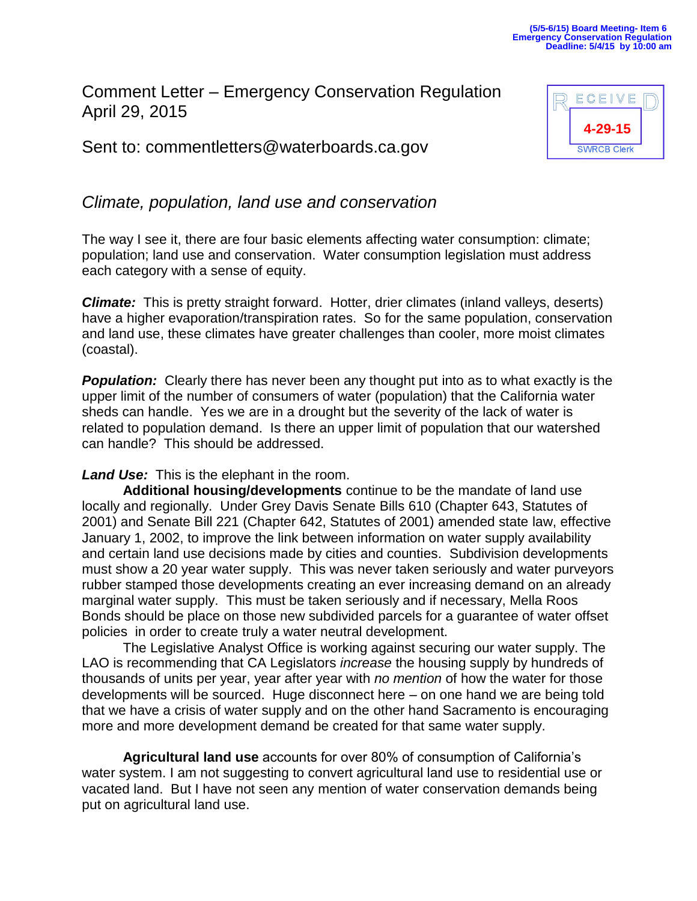## Comment Letter – Emergency Conservation Regulation April 29, 2015

Sent to: commentletters@waterboards.ca.gov



## *Climate, population, land use and conservation*

The way I see it, there are four basic elements affecting water consumption: climate; population; land use and conservation. Water consumption legislation must address each category with a sense of equity.

*Climate:* This is pretty straight forward. Hotter, drier climates (inland valleys, deserts) have a higher evaporation/transpiration rates. So for the same population, conservation and land use, these climates have greater challenges than cooler, more moist climates (coastal).

**Population:** Clearly there has never been any thought put into as to what exactly is the upper limit of the number of consumers of water (population) that the California water sheds can handle. Yes we are in a drought but the severity of the lack of water is related to population demand. Is there an upper limit of population that our watershed can handle? This should be addressed.

*Land Use:* This is the elephant in the room.

**Additional housing/developments** continue to be the mandate of land use locally and regionally. Under Grey Davis Senate Bills 610 (Chapter 643, Statutes of 2001) and Senate Bill 221 (Chapter 642, Statutes of 2001) amended state law, effective January 1, 2002, to improve the link between information on water supply availability and certain land use decisions made by cities and counties. Subdivision developments must show a 20 year water supply. This was never taken seriously and water purveyors rubber stamped those developments creating an ever increasing demand on an already marginal water supply. This must be taken seriously and if necessary, Mella Roos Bonds should be place on those new subdivided parcels for a guarantee of water offset policies in order to create truly a water neutral development.

The Legislative Analyst Office is working against securing our water supply. The LAO is recommending that CA Legislators *increase* the housing supply by hundreds of thousands of units per year, year after year with *no mention* of how the water for those developments will be sourced. Huge disconnect here – on one hand we are being told that we have a crisis of water supply and on the other hand Sacramento is encouraging more and more development demand be created for that same water supply.

**Agricultural land use** accounts for over 80% of consumption of California's water system. I am not suggesting to convert agricultural land use to residential use or vacated land. But I have not seen any mention of water conservation demands being put on agricultural land use.